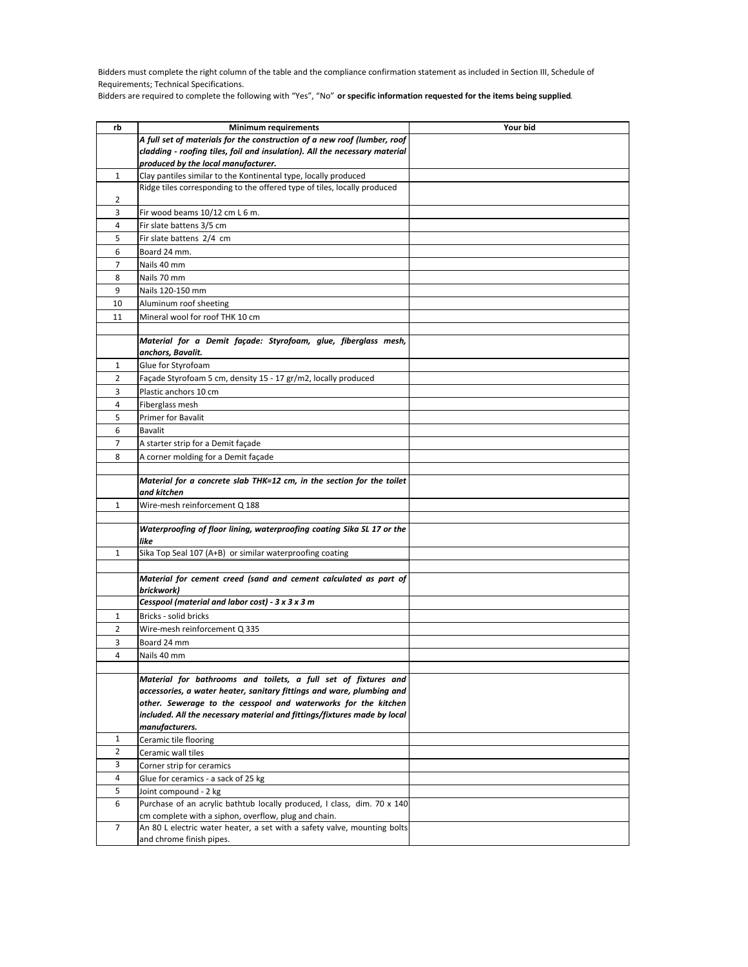Bidders must complete the right column of the table and the compliance confirmation statement as included in Section III, Schedule of Requirements; Technical Specifications.

Bidders are required to complete the following with "Yes", "No" **or specific information requested for the items being supplied**.

| rb             | <b>Minimum requirements</b>                                                                                                     | Your bid |
|----------------|---------------------------------------------------------------------------------------------------------------------------------|----------|
|                | A full set of materials for the construction of a new roof (lumber, roof                                                        |          |
|                | cladding - roofing tiles, foil and insulation). All the necessary material                                                      |          |
|                | produced by the local manufacturer.                                                                                             |          |
| 1              | Clay pantiles similar to the Kontinental type, locally produced                                                                 |          |
|                | Ridge tiles corresponding to the offered type of tiles, locally produced                                                        |          |
| 2              |                                                                                                                                 |          |
| 3              | Fir wood beams 10/12 cm L 6 m.                                                                                                  |          |
| 4              | Fir slate battens 3/5 cm                                                                                                        |          |
| 5              | Fir slate battens 2/4 cm                                                                                                        |          |
| 6              | Board 24 mm.                                                                                                                    |          |
| 7              | Nails 40 mm                                                                                                                     |          |
| 8              | Nails 70 mm                                                                                                                     |          |
| 9              | Nails 120-150 mm                                                                                                                |          |
| 10             | Aluminum roof sheeting                                                                                                          |          |
| 11             | Mineral wool for roof THK 10 cm                                                                                                 |          |
|                |                                                                                                                                 |          |
|                | Material for a Demit façade: Styrofoam, glue, fiberglass mesh,                                                                  |          |
|                | anchors, Bavalit.                                                                                                               |          |
| 1              | Glue for Styrofoam                                                                                                              |          |
| 2              | Façade Styrofoam 5 cm, density 15 - 17 gr/m2, locally produced                                                                  |          |
| 3              | Plastic anchors 10 cm                                                                                                           |          |
| 4              | Fiberglass mesh                                                                                                                 |          |
| 5              | Primer for Bavalit                                                                                                              |          |
| 6              | <b>Bavalit</b>                                                                                                                  |          |
| $\overline{7}$ | A starter strip for a Demit façade                                                                                              |          |
| 8              | A corner molding for a Demit façade                                                                                             |          |
|                |                                                                                                                                 |          |
|                | Material for a concrete slab THK=12 cm, in the section for the toilet                                                           |          |
|                | and kitchen                                                                                                                     |          |
| 1              | Wire-mesh reinforcement Q 188                                                                                                   |          |
|                |                                                                                                                                 |          |
|                | Waterproofing of floor lining, waterproofing coating Sika SL 17 or the                                                          |          |
|                | like                                                                                                                            |          |
| $\mathbf{1}$   | Sika Top Seal 107 (A+B) or similar waterproofing coating                                                                        |          |
|                | Material for cement creed (sand and cement calculated as part of                                                                |          |
|                | brickwork)                                                                                                                      |          |
|                | Cesspool (material and labor cost) - 3 x 3 x 3 m                                                                                |          |
| 1              | Bricks - solid bricks                                                                                                           |          |
| 2              | Wire-mesh reinforcement Q 335                                                                                                   |          |
| 3              | Board 24 mm                                                                                                                     |          |
| 4              | Nails 40 mm                                                                                                                     |          |
|                |                                                                                                                                 |          |
|                | Material for bathrooms and toilets, a full set of fixtures and                                                                  |          |
|                | accessories, a water heater, sanitary fittings and ware, plumbing and                                                           |          |
|                | other. Sewerage to the cesspool and waterworks for the kitchen                                                                  |          |
|                | included. All the necessary material and fittings/fixtures made by local                                                        |          |
|                | manufacturers.                                                                                                                  |          |
| 1              | Ceramic tile flooring                                                                                                           |          |
| $\overline{2}$ | Ceramic wall tiles                                                                                                              |          |
| 3              | Corner strip for ceramics                                                                                                       |          |
| 4              | Glue for ceramics - a sack of 25 kg                                                                                             |          |
| 5              | Joint compound - 2 kg                                                                                                           |          |
| 6              | Purchase of an acrylic bathtub locally produced, I class, dim. 70 x 140<br>cm complete with a siphon, overflow, plug and chain. |          |
| 7              | An 80 L electric water heater, a set with a safety valve, mounting bolts                                                        |          |
|                | and chrome finish pipes.                                                                                                        |          |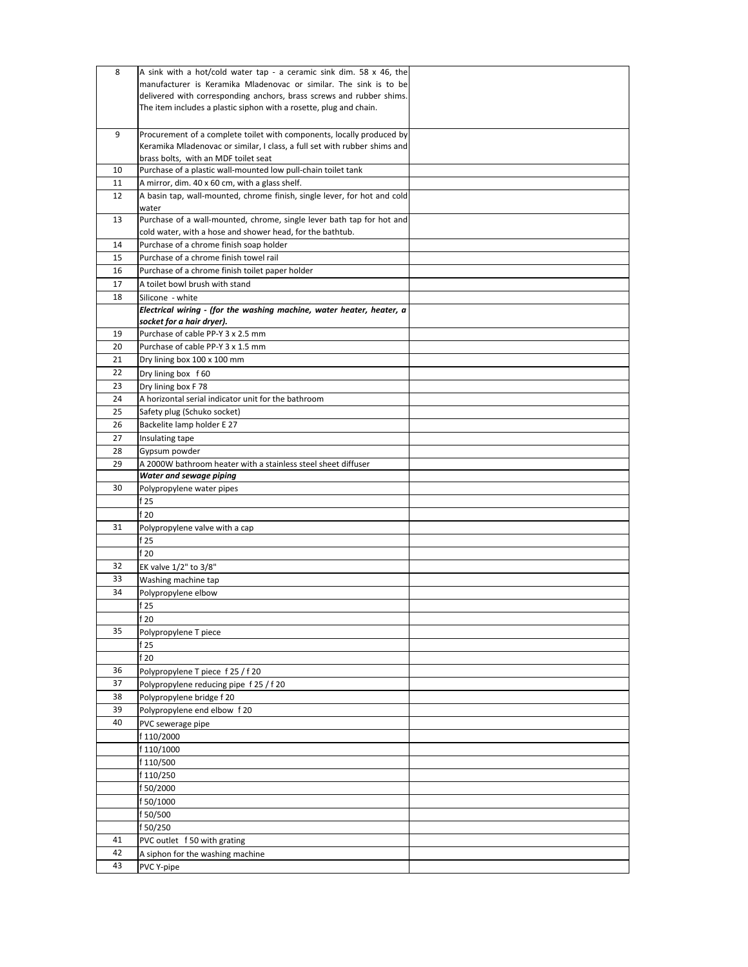| 8        | A sink with a hot/cold water tap - a ceramic sink dim. 58 x 46, the            |  |
|----------|--------------------------------------------------------------------------------|--|
|          | manufacturer is Keramika Mladenovac or similar. The sink is to be              |  |
|          | delivered with corresponding anchors, brass screws and rubber shims.           |  |
|          | The item includes a plastic siphon with a rosette, plug and chain.             |  |
|          |                                                                                |  |
| 9        | Procurement of a complete toilet with components, locally produced by          |  |
|          | Keramika Mladenovac or similar, I class, a full set with rubber shims and      |  |
|          | brass bolts, with an MDF toilet seat                                           |  |
| 10       | Purchase of a plastic wall-mounted low pull-chain toilet tank                  |  |
| 11       | A mirror, dim. 40 x 60 cm, with a glass shelf.                                 |  |
| 12       | A basin tap, wall-mounted, chrome finish, single lever, for hot and cold       |  |
|          | water<br>Purchase of a wall-mounted, chrome, single lever bath tap for hot and |  |
| 13       | cold water, with a hose and shower head, for the bathtub.                      |  |
| 14       | Purchase of a chrome finish soap holder                                        |  |
| 15       | Purchase of a chrome finish towel rail                                         |  |
| 16       | Purchase of a chrome finish toilet paper holder                                |  |
| 17       | A toilet bowl brush with stand                                                 |  |
| 18       | Silicone - white                                                               |  |
|          | Electrical wiring - (for the washing machine, water heater, heater, a          |  |
|          | socket for a hair dryer).                                                      |  |
| 19       | Purchase of cable PP-Y 3 x 2.5 mm                                              |  |
| 20       | Purchase of cable PP-Y 3 x 1.5 mm                                              |  |
| 21       | Dry lining box 100 x 100 mm                                                    |  |
| 22       | Dry lining box f60                                                             |  |
| 23       | Dry lining box F 78                                                            |  |
| 24       | A horizontal serial indicator unit for the bathroom                            |  |
| 25       | Safety plug (Schuko socket)                                                    |  |
| 26       | Backelite lamp holder E 27                                                     |  |
| 27       | Insulating tape                                                                |  |
| 28       | Gypsum powder                                                                  |  |
| 29       | A 2000W bathroom heater with a stainless steel sheet diffuser                  |  |
|          | Water and sewage piping                                                        |  |
|          |                                                                                |  |
| 30       | Polypropylene water pipes                                                      |  |
|          | f 25                                                                           |  |
|          | f 20                                                                           |  |
| 31       | Polypropylene valve with a cap                                                 |  |
|          | f 25                                                                           |  |
|          | f 20                                                                           |  |
| 32       | EK valve 1/2" to 3/8"                                                          |  |
| 33       | Washing machine tap                                                            |  |
| 34       | Polypropylene elbow                                                            |  |
|          | f 25                                                                           |  |
|          | f 20                                                                           |  |
| 35       | Polypropylene T piece                                                          |  |
|          | f 25                                                                           |  |
|          | f 20                                                                           |  |
| 36       | Polypropylene T piece f 25 / f 20                                              |  |
| 37       | Polypropylene reducing pipe f 25 / f 20                                        |  |
| 38       | Polypropylene bridge f 20                                                      |  |
| 39       | Polypropylene end elbow f 20                                                   |  |
| 40       | PVC sewerage pipe                                                              |  |
|          | f 110/2000                                                                     |  |
|          | f 110/1000                                                                     |  |
|          | f 110/500                                                                      |  |
|          | f 110/250                                                                      |  |
|          | f 50/2000                                                                      |  |
|          | f 50/1000                                                                      |  |
|          | f 50/500                                                                       |  |
|          | f 50/250                                                                       |  |
| 41       | PVC outlet f 50 with grating                                                   |  |
| 42<br>43 | A siphon for the washing machine<br>PVC Y-pipe                                 |  |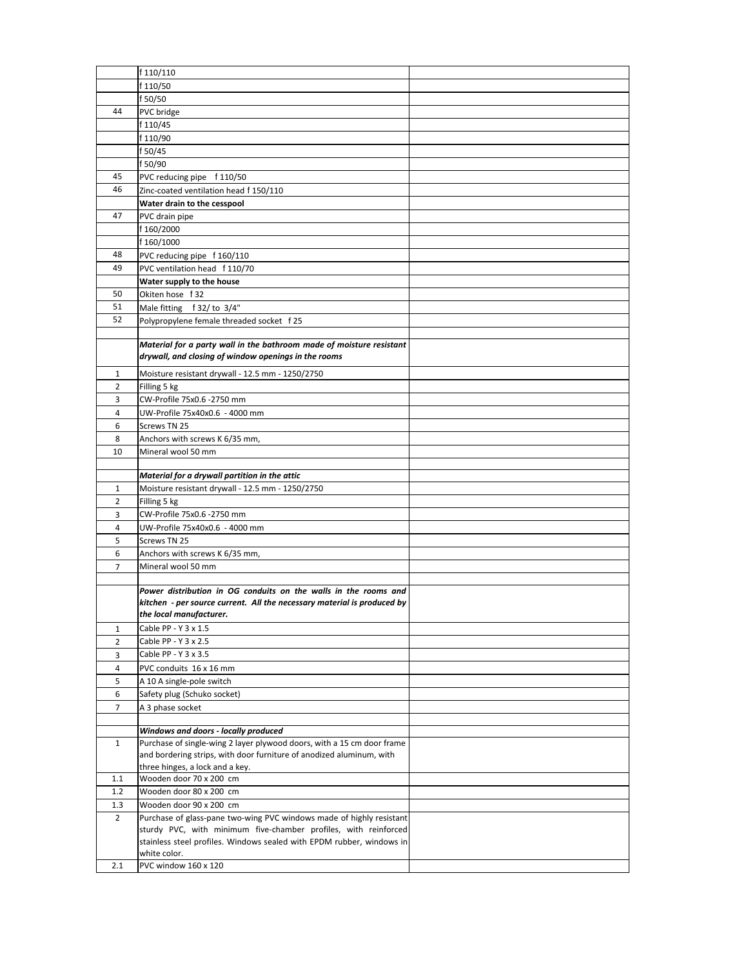|                | f 110/110                                                                                               |  |
|----------------|---------------------------------------------------------------------------------------------------------|--|
|                | f 110/50                                                                                                |  |
|                | f 50/50                                                                                                 |  |
| 44             | PVC bridge                                                                                              |  |
|                | f 110/45                                                                                                |  |
|                | f 110/90                                                                                                |  |
|                | f 50/45                                                                                                 |  |
|                | f 50/90                                                                                                 |  |
| 45             | PVC reducing pipe f 110/50                                                                              |  |
| 46             | Zinc-coated ventilation head f 150/110                                                                  |  |
|                | Water drain to the cesspool                                                                             |  |
| 47             |                                                                                                         |  |
|                | PVC drain pipe                                                                                          |  |
|                | f 160/2000                                                                                              |  |
|                | f 160/1000                                                                                              |  |
| 48<br>49       | PVC reducing pipe f 160/110                                                                             |  |
|                | PVC ventilation head f 110/70                                                                           |  |
|                | Water supply to the house                                                                               |  |
| 50             | Okiten hose f 32                                                                                        |  |
| 51             | Male fitting f 32/ to 3/4"                                                                              |  |
| 52             | Polypropylene female threaded socket f 25                                                               |  |
|                |                                                                                                         |  |
|                | Material for a party wall in the bathroom made of moisture resistant                                    |  |
|                | drywall, and closing of window openings in the rooms                                                    |  |
| 1              | Moisture resistant drywall - 12.5 mm - 1250/2750                                                        |  |
| 2              | Filling 5 kg                                                                                            |  |
| 3              | CW-Profile 75x0.6 -2750 mm                                                                              |  |
| 4              | UW-Profile 75x40x0.6 - 4000 mm                                                                          |  |
| 6              | Screws TN 25                                                                                            |  |
| 8              | Anchors with screws K 6/35 mm,                                                                          |  |
| 10             | Mineral wool 50 mm                                                                                      |  |
|                |                                                                                                         |  |
|                |                                                                                                         |  |
|                | Material for a drywall partition in the attic                                                           |  |
| 1              | Moisture resistant drywall - 12.5 mm - 1250/2750                                                        |  |
| 2              | Filling 5 kg                                                                                            |  |
| 3              | CW-Profile 75x0.6 -2750 mm                                                                              |  |
| 4              | UW-Profile 75x40x0.6 - 4000 mm                                                                          |  |
| 5              | Screws TN 25                                                                                            |  |
| 6              | Anchors with screws K 6/35 mm,                                                                          |  |
| $\overline{7}$ | Mineral wool 50 mm                                                                                      |  |
|                |                                                                                                         |  |
|                | Power distribution in OG conduits on the walls in the rooms and                                         |  |
|                | kitchen - per source current. All the necessary material is produced by                                 |  |
|                | the local manufacturer.                                                                                 |  |
| $\mathbf{1}$   | Cable PP - Y 3 x 1.5                                                                                    |  |
| $\overline{2}$ | Cable PP - Y 3 x 2.5                                                                                    |  |
| 3              | Cable PP - Y 3 x 3.5                                                                                    |  |
| 4              | PVC conduits 16 x 16 mm                                                                                 |  |
| 5              | A 10 A single-pole switch                                                                               |  |
| 6              | Safety plug (Schuko socket)                                                                             |  |
| $\overline{7}$ | A 3 phase socket                                                                                        |  |
|                |                                                                                                         |  |
|                | Windows and doors - locally produced                                                                    |  |
| $\mathbf{1}$   | Purchase of single-wing 2 layer plywood doors, with a 15 cm door frame                                  |  |
|                | and bordering strips, with door furniture of anodized aluminum, with<br>three hinges, a lock and a key. |  |
| 1.1            | Wooden door 70 x 200 cm                                                                                 |  |
| 1.2            | Wooden door 80 x 200 cm                                                                                 |  |
| 1.3            | Wooden door 90 x 200 cm                                                                                 |  |
| $\overline{2}$ | Purchase of glass-pane two-wing PVC windows made of highly resistant                                    |  |
|                | sturdy PVC, with minimum five-chamber profiles, with reinforced                                         |  |
|                | stainless steel profiles. Windows sealed with EPDM rubber, windows in                                   |  |
|                | white color.                                                                                            |  |